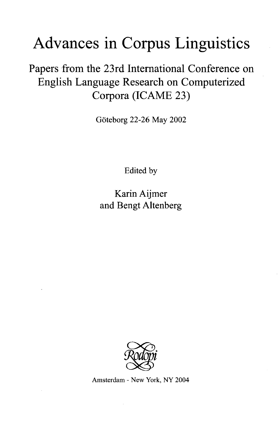## Advances in Corpus Linguistics

Papers from the 23rd International Conference on English Language Research on Computerized Corpora (ICAME 23)

Göteborg 22-26 May 2002

Edited by

Karin Aijmer and Bengt Altenberg



Amsterdam - New York, NY 2004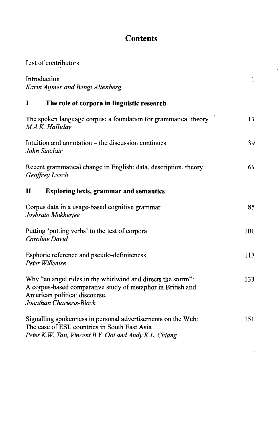## **Contents**

| List of contributors                                                                                                                                                                     |     |
|------------------------------------------------------------------------------------------------------------------------------------------------------------------------------------------|-----|
| Introduction<br>Karin Aijmer and Bengt Altenberg                                                                                                                                         | 1   |
| The role of corpora in linguistic research<br>I                                                                                                                                          |     |
| The spoken language corpus: a foundation for grammatical theory<br>M.A.K. Halliday                                                                                                       | 11  |
| Intuition and annotation – the discussion continues<br>John Sinclair                                                                                                                     | 39  |
| Recent grammatical change in English: data, description, theory<br>Geoffrey Leech                                                                                                        | 61  |
| $\mathbf H$<br><b>Exploring lexis, grammar and semantics</b>                                                                                                                             |     |
| Corpus data in a usage-based cognitive grammar<br>Joybrato Mukherjee                                                                                                                     | 85  |
| Putting 'putting verbs' to the test of corpora<br>Caroline David                                                                                                                         | 101 |
| Esphoric reference and pseudo-definiteness<br>Peter Willemse                                                                                                                             | 117 |
| Why "an angel rides in the whirlwind and directs the storm":<br>A corpus-based comparative study of metaphor in British and<br>American political discourse.<br>Jonathan Charteris-Black | 133 |
| Signalling spokenness in personal advertisements on the Web:<br>The case of ESL countries in South East Asia<br>Peter K.W. Tan, Vincent B.Y. Ooi and Andy K.L. Chiang                    | 151 |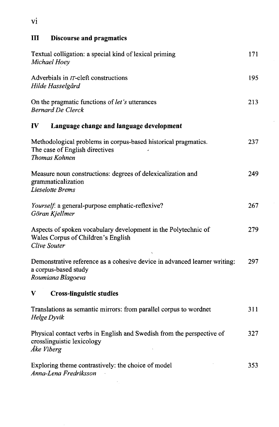| Ш<br><b>Discourse and pragmatics</b>                                                                                   |     |
|------------------------------------------------------------------------------------------------------------------------|-----|
| Textual colligation: a special kind of lexical priming<br>Michael Hoey                                                 | 171 |
| Adverbials in <i>IT</i> -cleft constructions<br>Hilde Hasselgård                                                       | 195 |
| On the pragmatic functions of let's utterances<br><b>Bernard De Clerck</b>                                             | 213 |
| $\bf{IV}$<br>Language change and language development                                                                  |     |
| Methodological problems in corpus-based historical pragmatics.<br>The case of English directives<br>Thomas Kohnen      | 237 |
| Measure noun constructions: degrees of delexicalization and<br>grammaticalization<br>Lieselotte Brems                  | 249 |
| Yourself: a general-purpose emphatic-reflexive?<br>Göran Kjellmer                                                      | 267 |
| Aspects of spoken vocabulary development in the Polytechnic of<br>Wales Corpus of Children's English<br>Clive Souter   | 279 |
| Demonstrative reference as a cohesive device in advanced learner writing:<br>a corpus-based study<br>Roumiana Blagoeva | 297 |
| V<br><b>Cross-linguistic studies</b>                                                                                   |     |
| Translations as semantic mirrors: from parallel corpus to wordnet<br>Helge Dyvik                                       | 311 |
| Physical contact verbs in English and Swedish from the perspective of<br>crosslinguistic lexicology<br>Åke Viberg      | 327 |
| Exploring theme contrastively: the choice of model<br>Anna-Lena Fredriksson                                            | 353 |

 $\frac{1}{2} \frac{1}{2} \frac{1}{2} \frac{1}{2}$ 

 $\bar{z}$